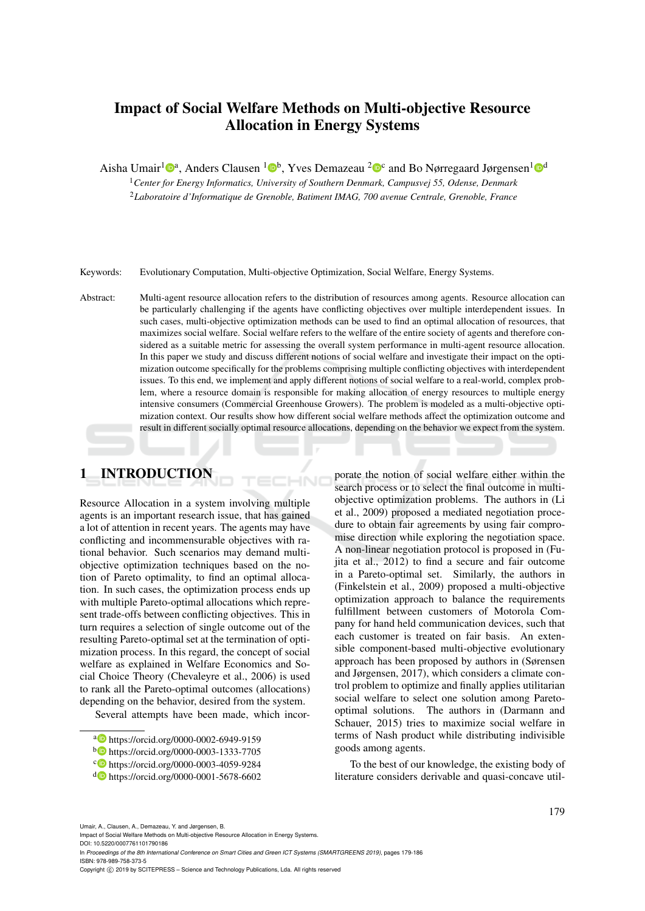# Impact of Social Welfare Methods on Multi-objective Resource Allocation in Energy Systems

Aisha Umair<sup>1</sup><sup>®</sup>, Anders Clausen <sup>1</sup><sup>®</sup>, Yves Demazeau <sup>2</sup><sup>®</sup> and Bo Nørregaard Jørgensen<sup>1</sup><sup>®</sup>

<sup>1</sup>*Center for Energy Informatics, University of Southern Denmark, Campusvej 55, Odense, Denmark* <sup>2</sup>*Laboratoire d'Informatique de Grenoble, Batiment IMAG, 700 avenue Centrale, Grenoble, France*

Keywords: Evolutionary Computation, Multi-objective Optimization, Social Welfare, Energy Systems.

Abstract: Multi-agent resource allocation refers to the distribution of resources among agents. Resource allocation can be particularly challenging if the agents have conflicting objectives over multiple interdependent issues. In such cases, multi-objective optimization methods can be used to find an optimal allocation of resources, that maximizes social welfare. Social welfare refers to the welfare of the entire society of agents and therefore considered as a suitable metric for assessing the overall system performance in multi-agent resource allocation. In this paper we study and discuss different notions of social welfare and investigate their impact on the optimization outcome specifically for the problems comprising multiple conflicting objectives with interdependent issues. To this end, we implement and apply different notions of social welfare to a real-world, complex problem, where a resource domain is responsible for making allocation of energy resources to multiple energy intensive consumers (Commercial Greenhouse Growers). The problem is modeled as a multi-objective optimization context. Our results show how different social welfare methods affect the optimization outcome and result in different socially optimal resource allocations, depending on the behavior we expect from the system.

HNIC

# 1 INTRODUCTION

Resource Allocation in a system involving multiple agents is an important research issue, that has gained a lot of attention in recent years. The agents may have conflicting and incommensurable objectives with rational behavior. Such scenarios may demand multiobjective optimization techniques based on the notion of Pareto optimality, to find an optimal allocation. In such cases, the optimization process ends up with multiple Pareto-optimal allocations which represent trade-offs between conflicting objectives. This in turn requires a selection of single outcome out of the resulting Pareto-optimal set at the termination of optimization process. In this regard, the concept of social welfare as explained in Welfare Economics and Social Choice Theory (Chevaleyre et al., 2006) is used to rank all the Pareto-optimal outcomes (allocations) depending on the behavior, desired from the system.

Several attempts have been made, which incor-

porate the notion of social welfare either within the search process or to select the final outcome in multiobjective optimization problems. The authors in (Li et al., 2009) proposed a mediated negotiation procedure to obtain fair agreements by using fair compromise direction while exploring the negotiation space. A non-linear negotiation protocol is proposed in (Fujita et al., 2012) to find a secure and fair outcome in a Pareto-optimal set. Similarly, the authors in (Finkelstein et al., 2009) proposed a multi-objective optimization approach to balance the requirements fulfillment between customers of Motorola Company for hand held communication devices, such that each customer is treated on fair basis. An extensible component-based multi-objective evolutionary approach has been proposed by authors in (Sørensen and Jørgensen, 2017), which considers a climate control problem to optimize and finally applies utilitarian social welfare to select one solution among Paretooptimal solutions. The authors in (Darmann and Schauer, 2015) tries to maximize social welfare in terms of Nash product while distributing indivisible goods among agents.

To the best of our knowledge, the existing body of literature considers derivable and quasi-concave util-

Umair, A., Clausen, A., Demazeau, Y. and Jørgensen, B.

Impact of Social Welfare Methods on Multi-objective Resource Allocation in Energy Systems. DOI: 10.5220/0007761101790186

In *Proceedings of the 8th International Conference on Smart Cities and Green ICT Systems (SMARTGREENS 2019)*, pages 179-186 ISBN: 978-989-758-373-5

a https://orcid.org/0000-0002-6949-9159

<sup>b</sup> https://orcid.org/0000-0003-1333-7705

c https://orcid.org/0000-0003-4059-9284

<sup>d</sup> https://orcid.org/0000-0001-5678-6602

Copyright (C) 2019 by SCITEPRESS - Science and Technology Publications, Lda. All rights reserved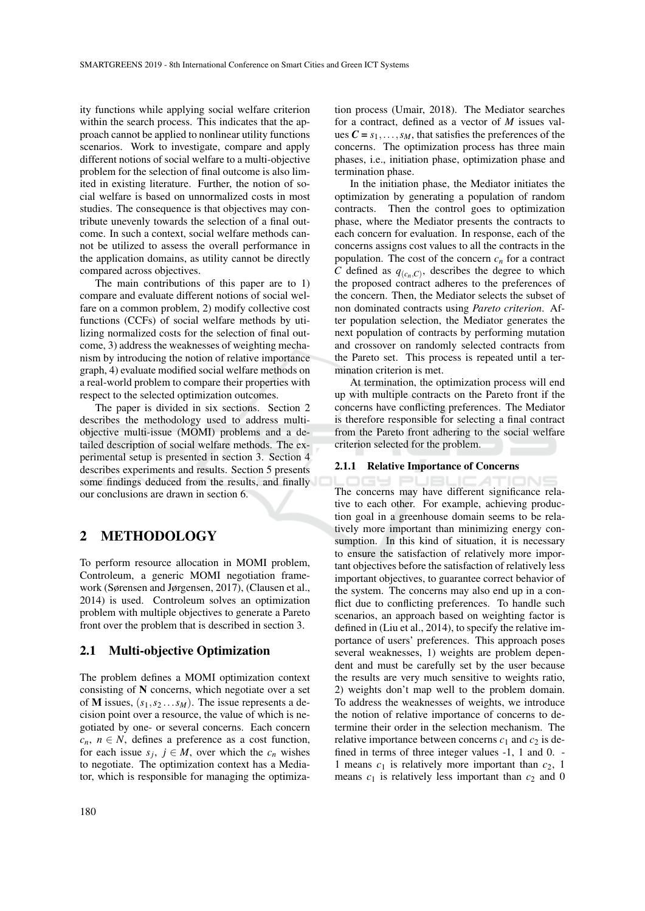ity functions while applying social welfare criterion within the search process. This indicates that the approach cannot be applied to nonlinear utility functions scenarios. Work to investigate, compare and apply different notions of social welfare to a multi-objective problem for the selection of final outcome is also limited in existing literature. Further, the notion of social welfare is based on unnormalized costs in most studies. The consequence is that objectives may contribute unevenly towards the selection of a final outcome. In such a context, social welfare methods cannot be utilized to assess the overall performance in the application domains, as utility cannot be directly compared across objectives.

The main contributions of this paper are to 1) compare and evaluate different notions of social welfare on a common problem, 2) modify collective cost functions (CCFs) of social welfare methods by utilizing normalized costs for the selection of final outcome, 3) address the weaknesses of weighting mechanism by introducing the notion of relative importance graph, 4) evaluate modified social welfare methods on a real-world problem to compare their properties with respect to the selected optimization outcomes.

The paper is divided in six sections. Section 2 describes the methodology used to address multiobjective multi-issue (MOMI) problems and a detailed description of social welfare methods. The experimental setup is presented in section 3. Section 4 describes experiments and results. Section 5 presents some findings deduced from the results, and finally our conclusions are drawn in section 6.

## 2 METHODOLOGY

To perform resource allocation in MOMI problem, Controleum, a generic MOMI negotiation framework (Sørensen and Jørgensen, 2017), (Clausen et al., 2014) is used. Controleum solves an optimization problem with multiple objectives to generate a Pareto front over the problem that is described in section 3.

### 2.1 Multi-objective Optimization

The problem defines a MOMI optimization context consisting of N concerns, which negotiate over a set of M issues, (*s*1,*s*<sup>2</sup> ...*sM*). The issue represents a decision point over a resource, the value of which is negotiated by one- or several concerns. Each concern  $c_n$ ,  $n \in N$ , defines a preference as a cost function, for each issue  $s_j$ ,  $j \in M$ , over which the  $c_n$  wishes to negotiate. The optimization context has a Mediator, which is responsible for managing the optimiza-

tion process (Umair, 2018). The Mediator searches for a contract, defined as a vector of *M* issues values  $C = s_1, \ldots, s_M$ , that satisfies the preferences of the concerns. The optimization process has three main phases, i.e., initiation phase, optimization phase and termination phase.

In the initiation phase, the Mediator initiates the optimization by generating a population of random contracts. Then the control goes to optimization phase, where the Mediator presents the contracts to each concern for evaluation. In response, each of the concerns assigns cost values to all the contracts in the population. The cost of the concern  $c_n$  for a contract *C* defined as  $q_{(c_n,C)}$ , describes the degree to which the proposed contract adheres to the preferences of the concern. Then, the Mediator selects the subset of non dominated contracts using *Pareto criterion*. After population selection, the Mediator generates the next population of contracts by performing mutation and crossover on randomly selected contracts from the Pareto set. This process is repeated until a termination criterion is met.

At termination, the optimization process will end up with multiple contracts on the Pareto front if the concerns have conflicting preferences. The Mediator is therefore responsible for selecting a final contract from the Pareto front adhering to the social welfare criterion selected for the problem.

#### 2.1.1 Relative Importance of Concerns

169 PI The concerns may have different significance relative to each other. For example, achieving production goal in a greenhouse domain seems to be relatively more important than minimizing energy consumption. In this kind of situation, it is necessary to ensure the satisfaction of relatively more important objectives before the satisfaction of relatively less important objectives, to guarantee correct behavior of the system. The concerns may also end up in a conflict due to conflicting preferences. To handle such scenarios, an approach based on weighting factor is defined in (Liu et al., 2014), to specify the relative importance of users' preferences. This approach poses several weaknesses, 1) weights are problem dependent and must be carefully set by the user because the results are very much sensitive to weights ratio, 2) weights don't map well to the problem domain. To address the weaknesses of weights, we introduce the notion of relative importance of concerns to determine their order in the selection mechanism. The relative importance between concerns  $c_1$  and  $c_2$  is defined in terms of three integer values -1, 1 and 0. - 1 means  $c_1$  is relatively more important than  $c_2$ , 1 means  $c_1$  is relatively less important than  $c_2$  and 0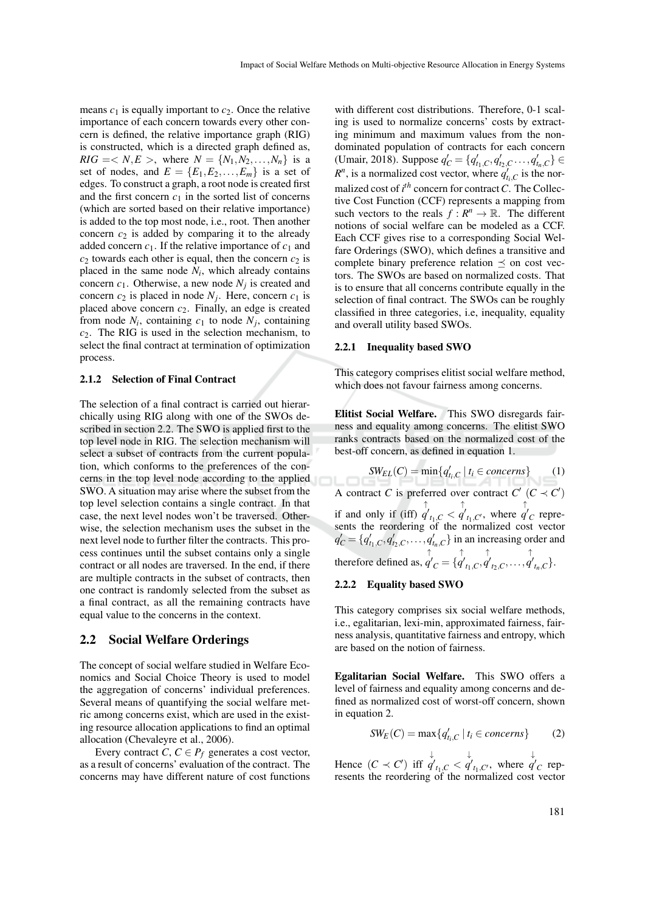means  $c_1$  is equally important to  $c_2$ . Once the relative importance of each concern towards every other concern is defined, the relative importance graph (RIG) is constructed, which is a directed graph defined as, *RIG* = < *N*, *E* >, where  $N = \{N_1, N_2, ..., N_n\}$  is a set of nodes, and  $E = \{E_1, E_2, \ldots, E_m\}$  is a set of edges. To construct a graph, a root node is created first and the first concern  $c_1$  in the sorted list of concerns (which are sorted based on their relative importance) is added to the top most node, i.e., root. Then another concern  $c_2$  is added by comparing it to the already added concern  $c_1$ . If the relative importance of  $c_1$  and  $c_2$  towards each other is equal, then the concern  $c_2$  is placed in the same node  $N_i$ , which already contains concern  $c_1$ . Otherwise, a new node  $N_j$  is created and concern  $c_2$  is placed in node  $N_j$ . Here, concern  $c_1$  is placed above concern *c*2. Finally, an edge is created from node  $N_i$ , containing  $c_1$  to node  $N_j$ , containing *c*2. The RIG is used in the selection mechanism, to select the final contract at termination of optimization process.

#### 2.1.2 Selection of Final Contract

The selection of a final contract is carried out hierarchically using RIG along with one of the SWOs described in section 2.2. The SWO is applied first to the top level node in RIG. The selection mechanism will select a subset of contracts from the current population, which conforms to the preferences of the concerns in the top level node according to the applied SWO. A situation may arise where the subset from the top level selection contains a single contract. In that case, the next level nodes won't be traversed. Otherwise, the selection mechanism uses the subset in the next level node to further filter the contracts. This process continues until the subset contains only a single contract or all nodes are traversed. In the end, if there are multiple contracts in the subset of contracts, then one contract is randomly selected from the subset as a final contract, as all the remaining contracts have equal value to the concerns in the context.

### 2.2 Social Welfare Orderings

The concept of social welfare studied in Welfare Economics and Social Choice Theory is used to model the aggregation of concerns' individual preferences. Several means of quantifying the social welfare metric among concerns exist, which are used in the existing resource allocation applications to find an optimal allocation (Chevaleyre et al., 2006).

Every contract *C*,  $C \in P_f$  generates a cost vector, as a result of concerns' evaluation of the contract. The concerns may have different nature of cost functions

with different cost distributions. Therefore, 0-1 scaling is used to normalize concerns' costs by extracting minimum and maximum values from the nondominated population of contracts for each concern (Umair, 2018). Suppose  $q'_{C} = \{q'_{t_1,C}, q'_{t_2,C}, \ldots, q'_{t_n,C}\} \in$  $R^n$ , is a normalized cost vector, where  $q'_{t_i,C}$  is the normalized cost of  $i^{th}$  concern for contract *C*. The Collective Cost Function (CCF) represents a mapping from such vectors to the reals  $f: R^n \to \mathbb{R}$ . The different notions of social welfare can be modeled as a CCF. Each CCF gives rise to a corresponding Social Welfare Orderings (SWO), which defines a transitive and complete binary preference relation  $\preceq$  on cost vectors. The SWOs are based on normalized costs. That is to ensure that all concerns contribute equally in the selection of final contract. The SWOs can be roughly classified in three categories, i.e, inequality, equality and overall utility based SWOs.

#### 2.2.1 Inequality based SWO

This category comprises elitist social welfare method, which does not favour fairness among concerns.

Elitist Social Welfare. This SWO disregards fairness and equality among concerns. The elitist SWO ranks contracts based on the normalized cost of the best-off concern, as defined in equation 1.

 $SW_{EL}(C) = \min\{q'_{t_i, C} \mid t_i \in concerns\}$  (1) A contract *C* is preferred over contract  $C'$   $(C \prec C')$ if and only if (iff) ↑  $q'_{t_1, C}$  < ↑  $q'_{t_1, C'}$ , where ↑  $q'_{C}$  represents the reordering of the normalized cost vector  $q'_C = \{q'_{t_1,C}, q'_{t_2,C}, \ldots, q'_{t_n,C}\}\$ in an increasing order and therefore defined as, ↑  $q'_{C} = \{$ ↑  $q'_{t_1,C}$ ↑  $q'_{t_2,C}, \ldots,$ ↑  $q'_{t_n,C}$ .

### 2.2.2 Equality based SWO

This category comprises six social welfare methods, i.e., egalitarian, lexi-min, approximated fairness, fairness analysis, quantitative fairness and entropy, which are based on the notion of fairness.

Egalitarian Social Welfare. This SWO offers a level of fairness and equality among concerns and defined as normalized cost of worst-off concern, shown in equation 2.

$$
SW_E(C) = \max\{q'_{t_i,C} \mid t_i \in concerns\} \tag{2}
$$

Hence  $(C \prec C')$  iff ↓  $q'_{t_1, C}$  < ↓  $q'_{t_1, C'}$ , where ↓  $q'_{C}$  represents the reordering of the normalized cost vector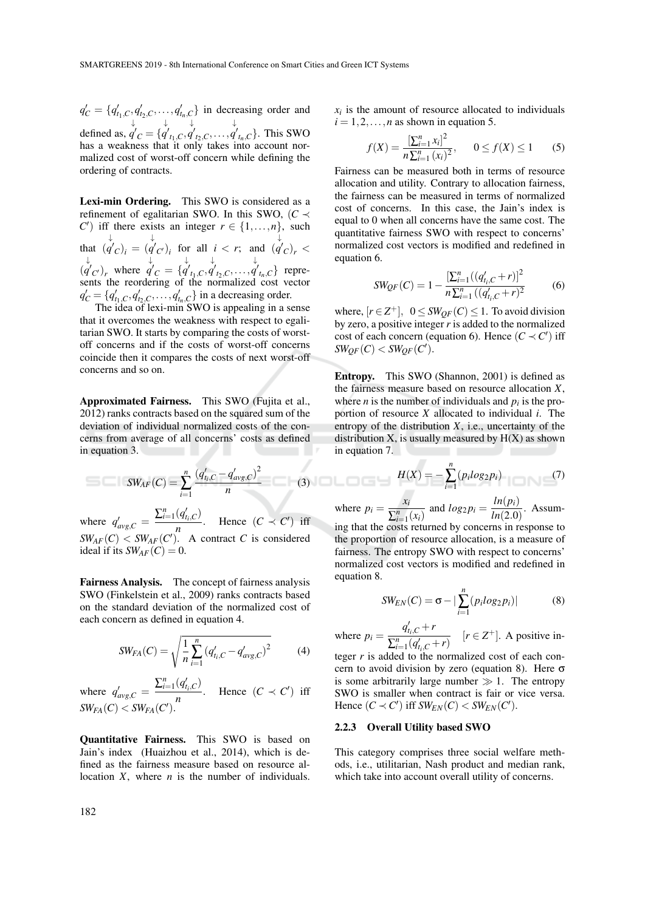$q'_C = \{q'_{t_1,C}, q'_{t_2,C}, \ldots, q'_{t_n,C}\}\$  in decreasing order and defined as, ↓  $q'_{C} = \{$ ↓  $q'_{t_1,C}$ ↓  $q'_{t_2,C}, \ldots,$ ↓  $q'_{t_n,C}$ . This SWO has a weakness that it only takes into account normalized cost of worst-off concern while defining the ordering of contracts.

Lexi-min Ordering. This SWO is considered as a refinement of egalitarian SWO. In this SWO,  $(C \prec$ *C*<sup> $\prime$ </sup>) iff there exists an integer  $r \in \{1, \ldots, n\}$ , such that ( ↓  $q'_{C}$ )<sub>*i*</sub> = ( ↓  $q'_{C'}$ )<sub>*i*</sub> for all *i* < *r*; and ( ↓  $q'_{c}$ <sub>*r*</sub> < ( ↓  $q'_{C'}$ , where ↓  $q'_{C} = \{$ ↓  $q'_{t_1,C}$ ↓  $q'_{t_2,C}, \ldots,$ ↓  $q'_{t_n,C}$ } represents the reordering of the normalized cost vector  $q'_C = \{q'_{t_1,C}, q'_{t_2,C}, \ldots, q'_{t_n,C}\}$  in a decreasing order.

The idea of lexi-min SWO is appealing in a sense that it overcomes the weakness with respect to egalitarian SWO. It starts by comparing the costs of worstoff concerns and if the costs of worst-off concerns coincide then it compares the costs of next worst-off concerns and so on.

Approximated Fairness. This SWO (Fujita et al., 2012) ranks contracts based on the squared sum of the deviation of individual normalized costs of the concerns from average of all concerns' costs as defined in equation 3.  $\mathbb{R}^n$ 

$$
SW_{AF}(C) = \sum_{i=1}^{n} \frac{(q'_{t_i,C} - q'_{avg,C})^2}{n}
$$
 (3)

where  $q'_{avg,C} = \frac{\sum_{i=1}^{n} (q'_{t_i,C})}{n}$  $\frac{(q_{t_i},C)}{n}$ . Hence  $(C \prec C')$  iff  $SW_{AF}(C) < SW_{AF}(C')$ . A contract *C* is considered ideal if its  $SW_{AF}(C) = 0$ .

Fairness Analysis. The concept of fairness analysis SWO (Finkelstein et al., 2009) ranks contracts based on the standard deviation of the normalized cost of each concern as defined in equation 4.

$$
SW_{FA}(C) = \sqrt{\frac{1}{n} \sum_{i=1}^{n} (q'_{t_i,C} - q'_{avg,C})^2}
$$
 (4)

where  $q'_{avg,C} = \frac{\sum_{i=1}^{n} (q'_{t,C})}{n}$  $\frac{(q_{t_i}, C)}{n}$ . Hence  $(C \prec C')$  iff  $SW_{FA}(C) < SW_{FA}(C')$ .

Quantitative Fairness. This SWO is based on Jain's index (Huaizhou et al., 2014), which is defined as the fairness measure based on resource allocation *X*, where *n* is the number of individuals.

 $x_i$  is the amount of resource allocated to individuals  $i = 1, 2, \ldots, n$  as shown in equation 5.

$$
f(X) = \frac{\left[\sum_{i=1}^{n} x_i\right]^2}{n \sum_{i=1}^{n} (x_i)^2}, \qquad 0 \le f(X) \le 1 \tag{5}
$$

Fairness can be measured both in terms of resource allocation and utility. Contrary to allocation fairness, the fairness can be measured in terms of normalized cost of concerns. In this case, the Jain's index is equal to 0 when all concerns have the same cost. The quantitative fairness SWO with respect to concerns' normalized cost vectors is modified and redefined in equation 6.

$$
SW_{QF}(C) = 1 - \frac{\left[\sum_{i=1}^{n} \left(\left(q'_{t_i,C} + r\right)\right]^{2}}{n \sum_{i=1}^{n} \left(\left(q'_{t_i,C} + r\right)^{2}\right)}\tag{6}
$$

where,  $[r \in \mathbb{Z}^+]$ ,  $0 \leq SW_{QF}(C) \leq 1$ . To avoid division by zero, a positive integer *r* is added to the normalized cost of each concern (equation 6). Hence  $(C \prec C')$  iff  $SW_{QF}(C) < SW_{QF}(C')$ .

Entropy. This SWO (Shannon, 2001) is defined as the fairness measure based on resource allocation *X*, where *n* is the number of individuals and  $p_i$  is the proportion of resource *X* allocated to individual *i*. The entropy of the distribution  $X$ , i.e., uncertainty of the distribution  $X$ , is usually measured by  $H(X)$  as shown in equation 7.

$$
H(X) = -\sum_{i=1}^{n} (p_i log_2 p_i)
$$
 (7)

where  $p_i = \frac{x_i}{\sum n_i}$  $\frac{x_i}{\sum_{i=1}^n (x_i)}$  and  $log_2 p_i = \frac{ln(p_i)}{ln(2.0)}$  $\frac{m(p)}{ln(2.0)}$ . Assuming that the costs returned by concerns in response to the proportion of resource allocation, is a measure of fairness. The entropy SWO with respect to concerns' normalized cost vectors is modified and redefined in equation 8.

$$
SW_{EN}(C) = \sigma - |\sum_{i=1}^{n} (p_i log_2 p_i)|
$$
 (8)

where  $p_i =$  $q'_{t_i,C}$  + *r*  $\frac{q_{i_1, C} + r}{\sum_{i=1}^n (q'_{i_i, C} + r)}$  [*r* ∈ *Z*<sup>+</sup>]. A positive in-

teger *r* is added to the normalized cost of each concern to avoid division by zero (equation 8). Here  $\sigma$ is some arbitrarily large number  $\gg 1$ . The entropy SWO is smaller when contract is fair or vice versa. Hence  $(C \prec C')$  iff  $SW_{EN}(C) < SW_{EN}(C')$ .

#### 2.2.3 Overall Utility based SWO

This category comprises three social welfare methods, i.e., utilitarian, Nash product and median rank, which take into account overall utility of concerns.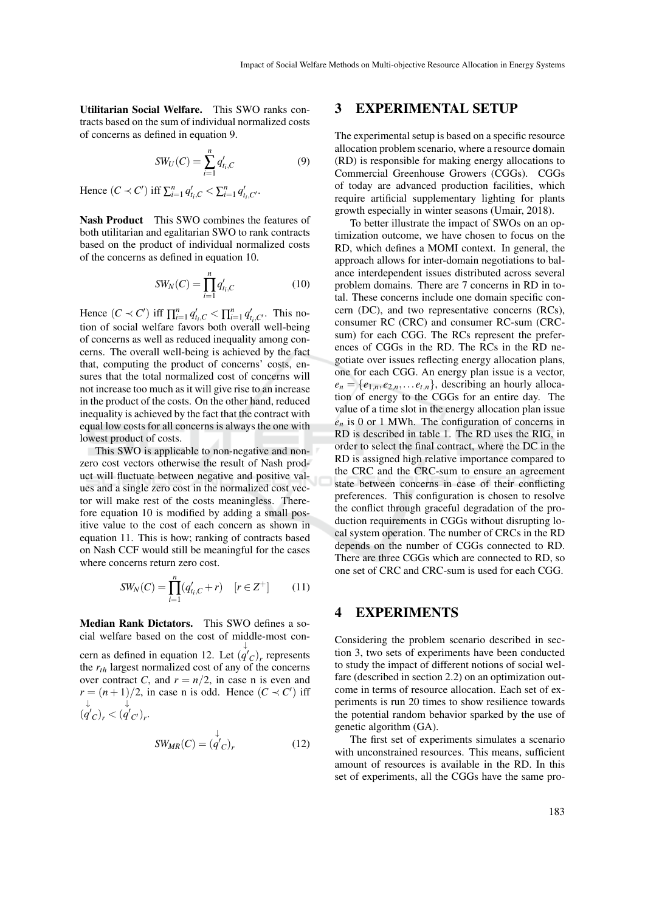Utilitarian Social Welfare. This SWO ranks contracts based on the sum of individual normalized costs of concerns as defined in equation 9.

$$
SW_U(C) = \sum_{i=1}^{n} q'_{i,c}
$$
 (9)

Hence  $(C \prec C')$  iff  $\sum_{i=1}^{n} q'_{t_i,C} < \sum_{i=1}^{n} q'_{t_i,C'}$ .

Nash Product This SWO combines the features of both utilitarian and egalitarian SWO to rank contracts based on the product of individual normalized costs of the concerns as defined in equation 10.

$$
SW_N(C) = \prod_{i=1}^n q'_{t_i,C}
$$
 (10)

Hence  $(C \prec C')$  iff  $\prod_{i=1}^{n} q'_{t_i, C} < \prod_{i=1}^{n} q'_{t_i, C'}$ . This notion of social welfare favors both overall well-being of concerns as well as reduced inequality among concerns. The overall well-being is achieved by the fact that, computing the product of concerns' costs, ensures that the total normalized cost of concerns will not increase too much as it will give rise to an increase in the product of the costs. On the other hand, reduced inequality is achieved by the fact that the contract with equal low costs for all concerns is always the one with lowest product of costs.

This SWO is applicable to non-negative and nonzero cost vectors otherwise the result of Nash product will fluctuate between negative and positive values and a single zero cost in the normalized cost vector will make rest of the costs meaningless. Therefore equation 10 is modified by adding a small positive value to the cost of each concern as shown in equation 11. This is how; ranking of contracts based on Nash CCF would still be meaningful for the cases where concerns return zero cost.

$$
SW_N(C) = \prod_{i=1}^n (q'_{t_i,C} + r) \quad [r \in Z^+]
$$
 (11)

Median Rank Dictators. This SWO defines a social welfare based on the cost of middle-most concern as defined in equation 12. Let  $(q'_{C})$ , represents ↓ the *rth* largest normalized cost of any of the concerns over contract *C*, and  $r = n/2$ , in case n is even and  $r = (n+1)/2$ , in case n is odd. Hence  $(C \prec C')$  iff ( ↓  $q'_{C}$ <sub>*r*</sub> < ( ↓  $q'_{C'}$ <sub>r</sub>.

$$
SW_{MR}(C) = \langle \overset{\downarrow}{q'}_C \rangle_r \tag{12}
$$

## 3 EXPERIMENTAL SETUP

The experimental setup is based on a specific resource allocation problem scenario, where a resource domain (RD) is responsible for making energy allocations to Commercial Greenhouse Growers (CGGs). CGGs of today are advanced production facilities, which require artificial supplementary lighting for plants growth especially in winter seasons (Umair, 2018).

To better illustrate the impact of SWOs on an optimization outcome, we have chosen to focus on the RD, which defines a MOMI context. In general, the approach allows for inter-domain negotiations to balance interdependent issues distributed across several problem domains. There are 7 concerns in RD in total. These concerns include one domain specific concern (DC), and two representative concerns (RCs), consumer RC (CRC) and consumer RC-sum (CRCsum) for each CGG. The RCs represent the preferences of CGGs in the RD. The RCs in the RD negotiate over issues reflecting energy allocation plans, one for each CGG. An energy plan issue is a vector,  $e_n = \{e_{1,n}, e_{2,n}, \ldots, e_{t,n}\},$  describing an hourly allocation of energy to the CGGs for an entire day. The value of a time slot in the energy allocation plan issue *e<sup>n</sup>* is 0 or 1 MWh. The configuration of concerns in RD is described in table 1. The RD uses the RIG, in order to select the final contract, where the DC in the RD is assigned high relative importance compared to the CRC and the CRC-sum to ensure an agreement state between concerns in case of their conflicting preferences. This configuration is chosen to resolve the conflict through graceful degradation of the production requirements in CGGs without disrupting local system operation. The number of CRCs in the RD depends on the number of CGGs connected to RD. There are three CGGs which are connected to RD, so one set of CRC and CRC-sum is used for each CGG.

## 4 EXPERIMENTS

Considering the problem scenario described in section 3, two sets of experiments have been conducted to study the impact of different notions of social welfare (described in section 2.2) on an optimization outcome in terms of resource allocation. Each set of experiments is run 20 times to show resilience towards the potential random behavior sparked by the use of genetic algorithm (GA).

The first set of experiments simulates a scenario with unconstrained resources. This means, sufficient amount of resources is available in the RD. In this set of experiments, all the CGGs have the same pro-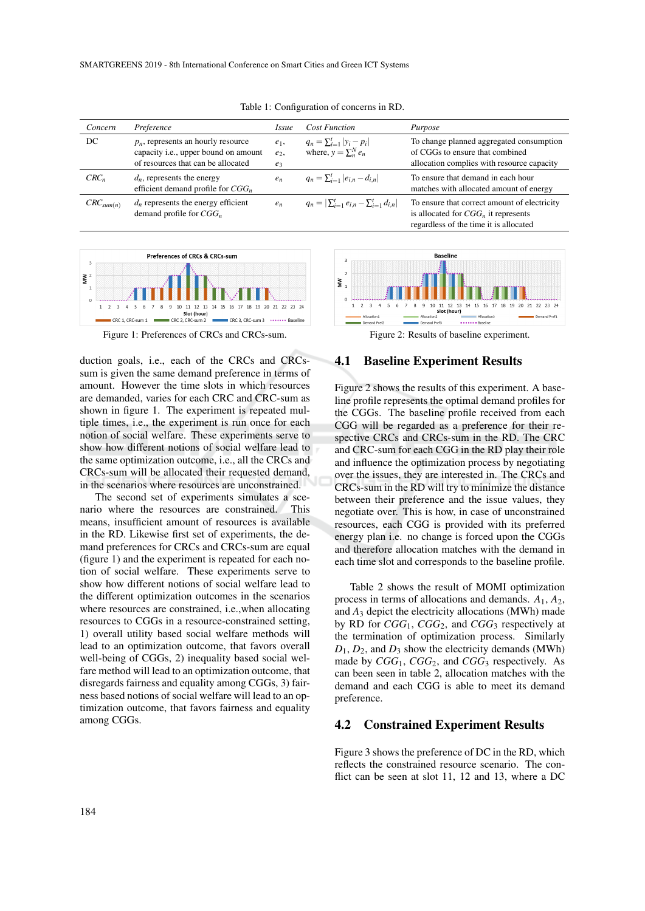| Concern        | Preference                                                                                                          | <i>Issue</i>              | <b>Cost Function</b>                                                | Purpose                                                                                                                          |
|----------------|---------------------------------------------------------------------------------------------------------------------|---------------------------|---------------------------------------------------------------------|----------------------------------------------------------------------------------------------------------------------------------|
| DC             | $p_n$ , represents an hourly resource<br>capacity i.e., upper bound on amount<br>of resources that can be allocated | $e_1$ ,<br>$e_2$<br>$e_3$ | $q_n = \sum_{i=1}^t  y_i - p_i $<br>where, $y = \sum_{n=0}^{N} e_n$ | To change planned aggregated consumption<br>of CGGs to ensure that combined<br>allocation complies with resource capacity        |
| $CRC_n$        | $d_n$ , represents the energy<br>efficient demand profile for $CGG_n$                                               | $e_n$                     | $q_n = \sum_{i=1}^t  e_{i,n} - d_{i,n} $                            | To ensure that demand in each hour<br>matches with allocated amount of energy                                                    |
| $CRC_{sum(n)}$ | $d_n$ represents the energy efficient<br>demand profile for $CGG_n$                                                 | $e_n$                     | $q_n =  \sum_{i=1}^t e_{i,n} - \sum_{i=1}^t d_{i,n} $               | To ensure that correct amount of electricity<br>is allocated for $CGG_n$ it represents<br>regardless of the time it is allocated |

Table 1: Configuration of concerns in RD.



Figure 1: Preferences of CRCs and CRCs-sum.

duction goals, i.e., each of the CRCs and CRCssum is given the same demand preference in terms of amount. However the time slots in which resources are demanded, varies for each CRC and CRC-sum as shown in figure 1. The experiment is repeated multiple times, i.e., the experiment is run once for each notion of social welfare. These experiments serve to show how different notions of social welfare lead to the same optimization outcome, i.e., all the CRCs and CRCs-sum will be allocated their requested demand, in the scenarios where resources are unconstrained.

The second set of experiments simulates a scenario where the resources are constrained. This means, insufficient amount of resources is available in the RD. Likewise first set of experiments, the demand preferences for CRCs and CRCs-sum are equal (figure 1) and the experiment is repeated for each notion of social welfare. These experiments serve to show how different notions of social welfare lead to the different optimization outcomes in the scenarios where resources are constrained, i.e.,when allocating resources to CGGs in a resource-constrained setting, 1) overall utility based social welfare methods will lead to an optimization outcome, that favors overall well-being of CGGs, 2) inequality based social welfare method will lead to an optimization outcome, that disregards fairness and equality among CGGs, 3) fairness based notions of social welfare will lead to an optimization outcome, that favors fairness and equality among CGGs.



Figure 2: Results of baseline experiment.

### 4.1 Baseline Experiment Results

Figure 2 shows the results of this experiment. A baseline profile represents the optimal demand profiles for the CGGs. The baseline profile received from each CGG will be regarded as a preference for their respective CRCs and CRCs-sum in the RD. The CRC and CRC-sum for each CGG in the RD play their role and influence the optimization process by negotiating over the issues, they are interested in. The CRCs and CRCs-sum in the RD will try to minimize the distance between their preference and the issue values, they negotiate over. This is how, in case of unconstrained resources, each CGG is provided with its preferred energy plan i.e. no change is forced upon the CGGs and therefore allocation matches with the demand in each time slot and corresponds to the baseline profile.

Table 2 shows the result of MOMI optimization process in terms of allocations and demands. *A*1, *A*2, and *A*<sup>3</sup> depict the electricity allocations (MWh) made by RD for *CGG*1, *CGG*2, and *CGG*<sup>3</sup> respectively at the termination of optimization process. Similarly  $D_1$ ,  $D_2$ , and  $D_3$  show the electricity demands (MWh) made by *CGG*1, *CGG*2, and *CGG*<sup>3</sup> respectively. As can been seen in table 2, allocation matches with the demand and each CGG is able to meet its demand preference.

#### 4.2 Constrained Experiment Results

Figure 3 shows the preference of DC in the RD, which reflects the constrained resource scenario. The conflict can be seen at slot 11, 12 and 13, where a DC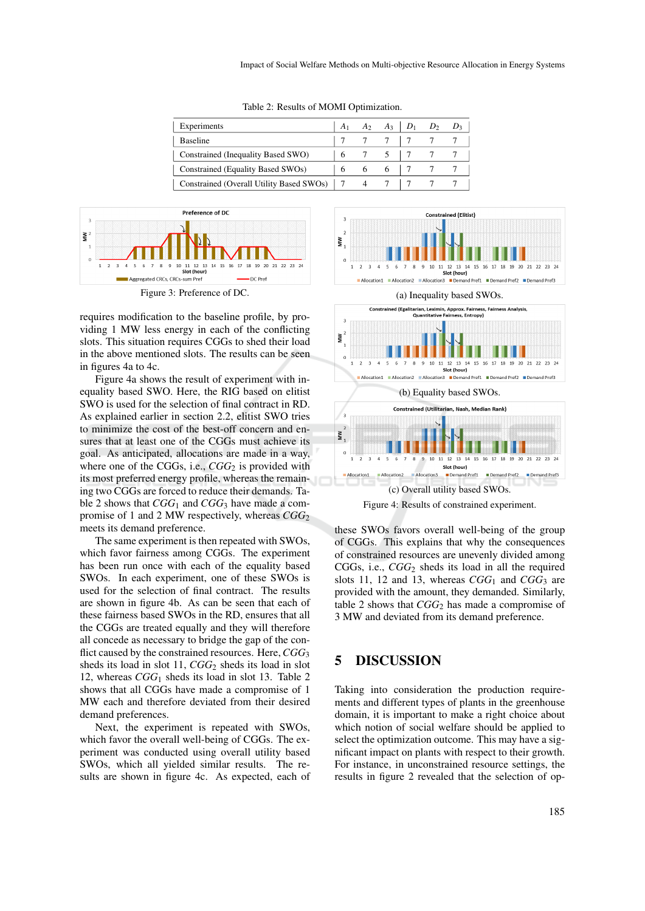| Experiments                                |  |   | $A_2 \quad A_3 \mid D_1 \quad D_2$ |  |
|--------------------------------------------|--|---|------------------------------------|--|
| <b>Baseline</b>                            |  |   |                                    |  |
| Constrained (Inequality Based SWO)         |  |   |                                    |  |
| Constrained (Equality Based SWOs)          |  | 6 |                                    |  |
| Constrained (Overall Utility Based SWOs) 7 |  |   |                                    |  |

Table 2: Results of MOMI Optimization.



Figure 3: Preference of DC.

requires modification to the baseline profile, by providing 1 MW less energy in each of the conflicting slots. This situation requires CGGs to shed their load in the above mentioned slots. The results can be seen in figures 4a to 4c.

Figure 4a shows the result of experiment with inequality based SWO. Here, the RIG based on elitist SWO is used for the selection of final contract in RD. As explained earlier in section 2.2, elitist SWO tries to minimize the cost of the best-off concern and ensures that at least one of the CGGs must achieve its goal. As anticipated, allocations are made in a way, where one of the CGGs, i.e., *CGG*<sub>2</sub> is provided with its most preferred energy profile, whereas the remaining two CGGs are forced to reduce their demands. Table 2 shows that  $CGG_1$  and  $CGG_3$  have made a compromise of 1 and 2 MW respectively, whereas *CGG*<sub>2</sub> meets its demand preference.

The same experiment is then repeated with SWOs, which favor fairness among CGGs. The experiment has been run once with each of the equality based SWOs. In each experiment, one of these SWOs is used for the selection of final contract. The results are shown in figure 4b. As can be seen that each of these fairness based SWOs in the RD, ensures that all the CGGs are treated equally and they will therefore all concede as necessary to bridge the gap of the conflict caused by the constrained resources. Here,*CGG*<sup>3</sup> sheds its load in slot 11, *CGG*<sup>2</sup> sheds its load in slot 12, whereas *CGG*<sup>1</sup> sheds its load in slot 13. Table 2 shows that all CGGs have made a compromise of 1 MW each and therefore deviated from their desired demand preferences.

Next, the experiment is repeated with SWOs, which favor the overall well-being of CGGs. The experiment was conducted using overall utility based SWOs, which all yielded similar results. The results are shown in figure 4c. As expected, each of







these SWOs favors overall well-being of the group of CGGs. This explains that why the consequences of constrained resources are unevenly divided among CGGs, i.e., *CGG*<sup>2</sup> sheds its load in all the required slots 11, 12 and 13, whereas  $CGG<sub>1</sub>$  and  $CGG<sub>3</sub>$  are provided with the amount, they demanded. Similarly, table 2 shows that *CGG*<sup>2</sup> has made a compromise of 3 MW and deviated from its demand preference.

# 5 DISCUSSION

Taking into consideration the production requirements and different types of plants in the greenhouse domain, it is important to make a right choice about which notion of social welfare should be applied to select the optimization outcome. This may have a significant impact on plants with respect to their growth. For instance, in unconstrained resource settings, the results in figure 2 revealed that the selection of op